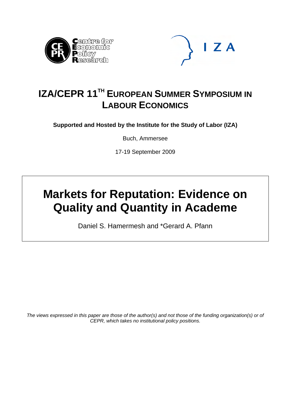



# **IZA/CEPR 11TH EUROPEAN SUMMER SYMPOSIUM IN LABOUR ECONOMICS**

**Supported and Hosted by the Institute for the Study of Labor (IZA)** 

Buch, Ammersee

17-19 September 2009

# **Markets for Reputation: Evidence on Quality and Quantity in Academe**

Daniel S. Hamermesh and \*Gerard A. Pfann

*The views expressed in this paper are those of the author(s) and not those of the funding organization(s) or of CEPR, which takes no institutional policy positions.*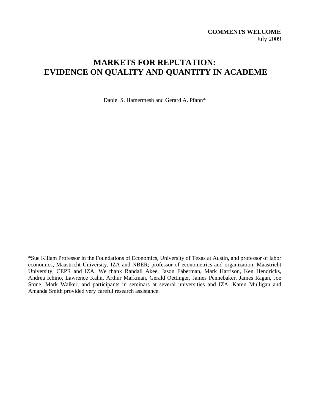# **MARKETS FOR REPUTATION: EVIDENCE ON QUALITY AND QUANTITY IN ACADEME**

Daniel S. Hamermesh and Gerard A. Pfann\*

\*Sue Killam Professor in the Foundations of Economics, University of Texas at Austin, and professor of labor economics, Maastricht University, IZA and NBER; professor of econometrics and organization, Maastricht University, CEPR and IZA. We thank Randall Akee, Jason Faberman, Mark Harrison, Ken Hendricks, Andrea Ichino, Lawrence Kahn, Arthur Markman, Gerald Oettinger, James Pennebaker, James Ragan, Joe Stone, Mark Walker, and participants in seminars at several universities and IZA. Karen Mulligan and Amanda Smith provided very careful research assistance.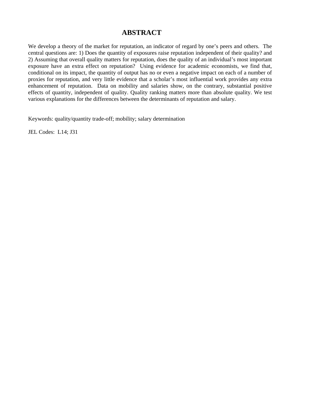# **ABSTRACT**

We develop a theory of the market for reputation, an indicator of regard by one's peers and others. The central questions are: 1) Does the quantity of exposures raise reputation independent of their quality? and 2) Assuming that overall quality matters for reputation, does the quality of an individual's most important exposure have an extra effect on reputation? Using evidence for academic economists, we find that, conditional on its impact, the quantity of output has no or even a negative impact on each of a number of proxies for reputation, and very little evidence that a scholar's most influential work provides any extra enhancement of reputation. Data on mobility and salaries show, on the contrary, substantial positive effects of quantity, independent of quality. Quality ranking matters more than absolute quality. We test various explanations for the differences between the determinants of reputation and salary.

Keywords: quality/quantity trade-off; mobility; salary determination

JEL Codes: L14; J31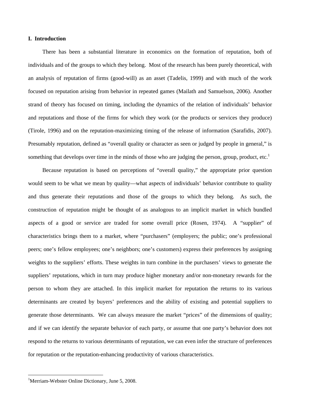#### **I. Introduction**

There has been a substantial literature in economics on the formation of reputation, both of individuals and of the groups to which they belong. Most of the research has been purely theoretical, with an analysis of reputation of firms (good-will) as an asset (Tadelis, 1999) and with much of the work focused on reputation arising from behavior in repeated games (Mailath and Samuelson, 2006). Another strand of theory has focused on timing, including the dynamics of the relation of individuals' behavior and reputations and those of the firms for which they work (or the products or services they produce) (Tirole, 1996) and on the reputation-maximizing timing of the release of information (Sarafidis, 2007). Presumably reputation, defined as "overall quality or character as seen or judged by people in general," is something that develops over time in the minds of those who are judging the person, group, product, etc.<sup>[1](#page-3-0)</sup>

Because reputation is based on perceptions of "overall quality," the appropriate prior question would seem to be what we mean by quality—what aspects of individuals' behavior contribute to quality and thus generate their reputations and those of the groups to which they belong. As such, the construction of reputation might be thought of as analogous to an implicit market in which bundled aspects of a good or service are traded for some overall price (Rosen, 1974). A "supplier" of characteristics brings them to a market, where "purchasers" (employers; the public; one's professional peers; one's fellow employees; one's neighbors; one's customers) express their preferences by assigning weights to the suppliers' efforts. These weights in turn combine in the purchasers' views to generate the suppliers' reputations, which in turn may produce higher monetary and/or non-monetary rewards for the person to whom they are attached. In this implicit market for reputation the returns to its various determinants are created by buyers' preferences and the ability of existing and potential suppliers to generate those determinants. We can always measure the market "prices" of the dimensions of quality; and if we can identify the separate behavior of each party, or assume that one party's behavior does not respond to the returns to various determinants of reputation, we can even infer the structure of preferences for reputation or the reputation-enhancing productivity of various characteristics.

<span id="page-3-0"></span><sup>&</sup>lt;sup>1</sup>Merriam-Webster Online Dictionary, June 5, 2008.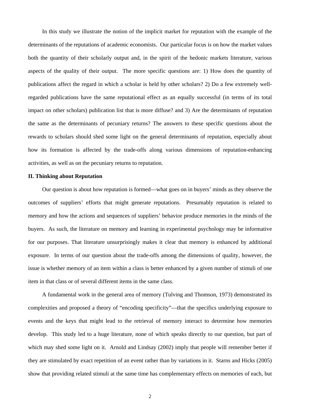In this study we illustrate the notion of the implicit market for reputation with the example of the determinants of the reputations of academic economists. Our particular focus is on how the market values both the quantity of their scholarly output and, in the spirit of the hedonic markets literature, various aspects of the quality of their output. The more specific questions are: 1) How does the quantity of publications affect the regard in which a scholar is held by other scholars? 2) Do a few extremely wellregarded publications have the same reputational effect as an equally successful (in terms of its total impact on other scholars) publication list that is more diffuse? and 3) Are the determinants of reputation the same as the determinants of pecuniary returns? The answers to these specific questions about the rewards to scholars should shed some light on the general determinants of reputation, especially about how its formation is affected by the trade-offs along various dimensions of reputation-enhancing activities, as well as on the pecuniary returns to reputation.

#### **II. Thinking about Reputation**

Our question is about how reputation is formed—what goes on in buyers' minds as they observe the outcomes of suppliers' efforts that might generate reputations. Presumably reputation is related to memory and how the actions and sequences of suppliers' behavior produce memories in the minds of the buyers. As such, the literature on memory and learning in experimental psychology may be informative for our purposes. That literature unsurprisingly makes it clear that memory is enhanced by additional exposure. In terms of our question about the trade-offs among the dimensions of quality, however, the issue is whether memory of an item within a class is better enhanced by a given number of stimuli of one item in that class or of several different items in the same class.

A fundamental work in the general area of memory (Tulving and Thomson, 1973) demonstrated its complexities and proposed a theory of "encoding specificity"—that the specifics underlying exposure to events and the keys that might lead to the retrieval of memory interact to determine how memories develop. This study led to a huge literature, none of which speaks directly to our question, but part of which may shed some light on it. Arnold and Lindsay (2002) imply that people will remember better if they are stimulated by exact repetition of an event rather than by variations in it. Starns and Hicks (2005) show that providing related stimuli at the same time has complementary effects on memories of each, but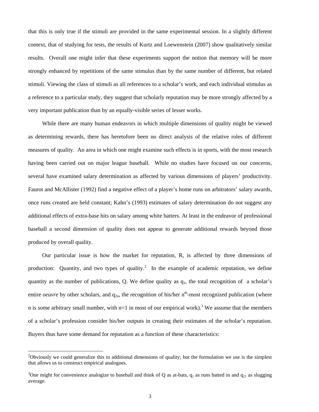that this is only true if the stimuli are provided in the same experimental session. In a slightly different context, that of studying for tests, the results of Kurtz and Loewenstein (2007) show qualitatively similar results. Overall one might infer that these experiments support the notion that memory will be more strongly enhanced by repetitions of the same stimulus than by the same number of different, but related stimuli. Viewing the class of stimuli as all references to a scholar's work, and each individual stimulus as a reference to a particular study, they suggest that scholarly reputation may be more strongly affected by a very important publication than by an equally-visible series of lesser works.

While there are many human endeavors in which multiple dimensions of quality might be viewed as determining rewards, there has heretofore been no direct analysis of the relative roles of different measures of quality. An area in which one might examine such effects is in sports, with the most research having been carried out on major league baseball. While no studies have focused on our concerns, several have examined salary determination as affected by various dimensions of players' productivity. Faurot and McAllister (1992) find a negative effect of a player's home runs on arbitrators' salary awards, once runs created are held constant; Kahn's (1993) estimates of salary determination do not suggest any additional effects of extra-base hits on salary among white batters. At least in the endeavor of professional baseball a second dimension of quality does not appear to generate additional rewards beyond those produced by overall quality.

Our particular issue is how the market for reputation, R, is affected by three dimensions of production: Quantity, and two types of quality.<sup>[2](#page-5-0)</sup> In the example of academic reputation, we define quantity as the number of publications, Q. We define quality as  $q_1$ , the total recognition of a scholar's entire *oeuvre* by other scholars, and  $q_{2n}$ , the recognition of his/her  $n<sup>th</sup>$ -most recognized publication (where n is some arbitrary small number, with  $n=1$  in most of our empirical work).<sup>3</sup> We assume that the members of a scholar's profession consider his/her outputs in creating their estimates of the scholar's reputation. Buyers thus have some demand for reputation as a function of these characteristics:

<span id="page-5-0"></span><sup>&</sup>lt;sup>2</sup>Obviously we could generalize this to additional dimensions of quality; but the formulation we use is the simplest that allows us to construct empirical analogues.

<span id="page-5-1"></span><sup>&</sup>lt;sup>3</sup>One might for convenience analogize to baseball and think of Q as at-bats,  $q_1$  as runs batted in and  $q_{21}$  as slugging average.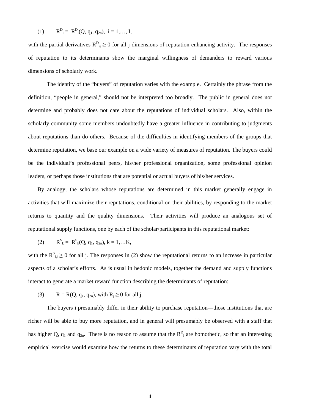(1) 
$$
R^{D}_{i} = R^{D}_{i}(Q, q_{1}, q_{2n}), i = 1, ..., I,
$$

with the partial derivatives  $R_{ij}^D \ge 0$  for all j dimensions of reputation-enhancing activity. The responses of reputation to its determinants show the marginal willingness of demanders to reward various dimensions of scholarly work.

The identity of the "buyers" of reputation varies with the example. Certainly the phrase from the definition, "people in general," should not be interpreted too broadly. The public in general does not determine and probably does not care about the reputations of individual scholars. Also, within the scholarly community some members undoubtedly have a greater influence in contributing to judgments about reputations than do others. Because of the difficulties in identifying members of the groups that determine reputation, we base our example on a wide variety of measures of reputation. The buyers could be the individual's professional peers, his/her professional organization, some professional opinion leaders, or perhaps those institutions that are potential or actual buyers of his/her services.

By analogy, the scholars whose reputations are determined in this market generally engage in activities that will maximize their reputations, conditional on their abilities, by responding to the market returns to quantity and the quality dimensions. Their activities will produce an analogous set of reputational supply functions, one by each of the scholar/participants in this reputational market:

(2) 
$$
R_k^S = R_k^S(Q, q_1, q_{2n}), k = 1,...K,
$$

with the  $R_{kj}^S \ge 0$  for all j. The responses in (2) show the reputational returns to an increase in particular aspects of a scholar's efforts. As is usual in hedonic models, together the demand and supply functions interact to generate a market reward function describing the determinants of reputation:

(3)  $R = R(Q, q_1, q_{2n})$ , with  $R_i \ge 0$  for all j.

The buyers i presumably differ in their ability to purchase reputation—those institutions that are richer will be able to buy more reputation, and in general will presumably be observed with a staff that has higher Q,  $q_1$  and  $q_{2n}$ . There is no reason to assume that the  $R_{i}^{D}$  are homothetic, so that an interesting empirical exercise would examine how the returns to these determinants of reputation vary with the total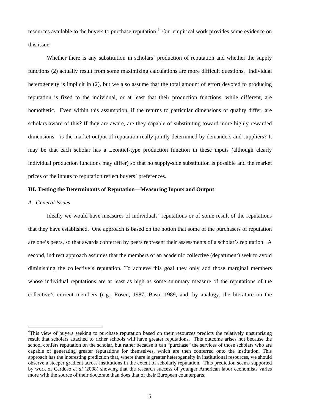resources available to the buyers to purchase reputation.<sup>4</sup> Our empirical work provides some evidence on this issue.

Whether there is any substitution in scholars' production of reputation and whether the supply functions (2) actually result from some maximizing calculations are more difficult questions. Individual heterogeneity is implicit in (2), but we also assume that the total amount of effort devoted to producing reputation is fixed to the individual, or at least that their production functions, while different, are homothetic. Even within this assumption, if the returns to particular dimensions of quality differ, are scholars aware of this? If they are aware, are they capable of substituting toward more highly rewarded dimensions—is the market output of reputation really jointly determined by demanders and suppliers? It may be that each scholar has a Leontief-type production function in these inputs (although clearly individual production functions may differ) so that no supply-side substitution is possible and the market prices of the inputs to reputation reflect buyers' preferences.

#### **III. Testing the Determinants of Reputation—Measuring Inputs and Output**

#### *A. General Issues*

 $\overline{a}$ 

Ideally we would have measures of individuals' reputations or of some result of the reputations that they have established. One approach is based on the notion that some of the purchasers of reputation are one's peers, so that awards conferred by peers represent their assessments of a scholar's reputation. A second, indirect approach assumes that the members of an academic collective (department) seek to avoid diminishing the collective's reputation. To achieve this goal they only add those marginal members whose individual reputations are at least as high as some summary measure of the reputations of the collective's current members (e.g., Rosen, 1987; Basu, 1989, and, by analogy, the literature on the

<span id="page-7-0"></span><sup>&</sup>lt;sup>4</sup>This view of buyers seeking to purchase reputation based on their resources predicts the relatively unsurprising result that scholars attached to richer schools will have greater reputations. This outcome arises not because the school confers reputation on the scholar, but rather because it can "purchase" the services of those scholars who are capable of generating greater reputations for themselves, which are then conferred onto the institution. This approach has the interesting prediction that, where there is greater heterogeneity in institutional resources, we should observe a steeper gradient across institutions in the extent of scholarly reputation. This prediction seems supported by work of Cardoso *et al* (2008) showing that the research success of younger American labor economists varies more with the source of their doctorate than does that of their European counterparts.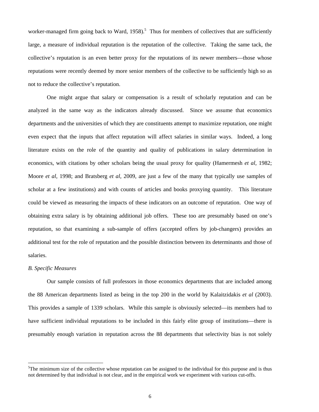worker-managed firm going back to Ward,  $1958$ ).<sup>5</sup> Thus for members of collectives that are sufficiently large, a measure of individual reputation is the reputation of the collective. Taking the same tack, the collective's reputation is an even better proxy for the reputations of its newer members—those whose reputations were recently deemed by more senior members of the collective to be sufficiently high so as not to reduce the collective's reputation.

One might argue that salary or compensation is a result of scholarly reputation and can be analyzed in the same way as the indicators already discussed. Since we assume that economics departments and the universities of which they are constituents attempt to maximize reputation, one might even expect that the inputs that affect reputation will affect salaries in similar ways. Indeed, a long literature exists on the role of the quantity and quality of publications in salary determination in economics, with citations by other scholars being the usual proxy for quality (Hamermesh *et al*, 1982; Moore *et al*, 1998; and Bratsberg *et al*, 2009, are just a few of the many that typically use samples of scholar at a few institutions) and with counts of articles and books proxying quantity. This literature could be viewed as measuring the impacts of these indicators on an outcome of reputation. One way of obtaining extra salary is by obtaining additional job offers. These too are presumably based on one's reputation, so that examining a sub-sample of offers (accepted offers by job-changers) provides an additional test for the role of reputation and the possible distinction between its determinants and those of salaries.

#### *B. Specific Measures*

 $\overline{a}$ 

Our sample consists of full professors in those economics departments that are included among the 88 American departments listed as being in the top 200 in the world by Kalaitzidakis *et al* (2003). This provides a sample of 1339 scholars. While this sample is obviously selected—its members had to have sufficient individual reputations to be included in this fairly elite group of institutions—there is presumably enough variation in reputation across the 88 departments that selectivity bias is not solely

<span id="page-8-0"></span><sup>&</sup>lt;sup>5</sup>The minimum size of the collective whose reputation can be assigned to the individual for this purpose and is thus not determined by that individual is not clear, and in the empirical work we experiment with various cut-offs.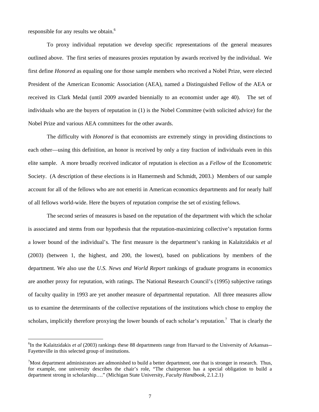responsible for any results we obtain.<sup>6</sup>

 $\overline{a}$ 

To proxy individual reputation we develop specific representations of the general measures outlined above. The first series of measures proxies reputation by awards received by the individual. We first define *Honored* as equaling one for those sample members who received a Nobel Prize, were elected President of the American Economic Association (AEA), named a Distinguished Fellow of the AEA or received its Clark Medal (until 2009 awarded biennially to an economist under age 40). The set of individuals who are the buyers of reputation in (1) is the Nobel Committee (with solicited advice) for the Nobel Prize and various AEA committees for the other awards.

The difficulty with *Honored* is that economists are extremely stingy in providing distinctions to each other—using this definition, an honor is received by only a tiny fraction of individuals even in this elite sample. A more broadly received indicator of reputation is election as a *Fellow* of the Econometric Society. (A description of these elections is in Hamermesh and Schmidt, 2003.) Members of our sample account for all of the fellows who are not emeriti in American economics departments and for nearly half of all fellows world-wide. Here the buyers of reputation comprise the set of existing fellows.

The second series of measures is based on the reputation of the department with which the scholar is associated and stems from our hypothesis that the reputation-maximizing collective's reputation forms a lower bound of the individual's. The first measure is the department's ranking in Kalaitzidakis *et al* (2003) (between 1, the highest, and 200, the lowest), based on publications by members of the department. We also use the *U.S. News and World Report* rankings of graduate programs in economics are another proxy for reputation, with ratings. The National Research Council's (1995) subjective ratings of faculty quality in 1993 are yet another measure of departmental reputation. All three measures allow us to examine the determinants of the collective reputations of the institutions which chose to employ the scholars, implicitly therefore proxying the lower bounds of each scholar's reputation.<sup>7</sup> That is clearly the

<span id="page-9-0"></span><sup>6</sup> In the Kalaitzidakis *et al* (2003) rankings these 88 departments range from Harvard to the University of Arkansas-- Fayetteville in this selected group of institutions.

<span id="page-9-1"></span> $^7$ Most department administrators are admonished to build a better department, one that is stronger in research. Thus, for example, one university describes the chair's role, "The chairperson has a special obligation to build a department strong in scholarship…." (Michigan State University, *Faculty Handbook*, 2.1.2.1)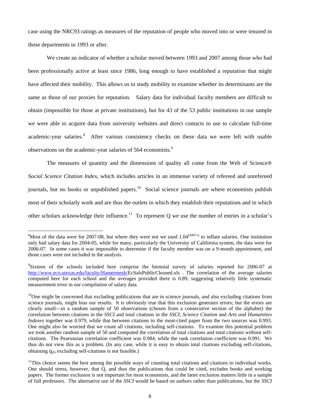<span id="page-10-3"></span>case using the NRC93 ratings as measures of the reputation of people who moved into or were tenured in those departments in 1993 or after.

We create an indicator of whether a scholar moved between 1993 and 2007 among those who had been professionally active at least since 1986, long enough to have established a reputation that might have affected their mobility. This allows us to study mobility to examine whether its determinants are the same as those of our proxies for reputation. Salary data for individual faculty members are difficult to obtain (impossible for those at private institutions), but for 43 of the 53 public institutions in our sample we were able to acquire data from university websites and direct contacts to use to calculate full-time academic-year salaries.<sup>[8](#page-10-0)</sup> After various consistency checks on these data we were left with usable observations on the academic-year salaries of 564 economists.<sup>[9](#page-10-1)</sup>

The measures of quantity and the dimensions of quality all come from the Web of Science® *Social Science Citation Index*, which includes articles in an immense variety of refereed and unrefereed journals, but no books or unpublished papers.<sup>10</sup> Social science journals are where economists publish most of their scholarly work and are thus the outlets in which they establish their reputations and in which other scholars acknowledge their influence.<sup>11</sup> To represent Q we use the number of entries in a scholar's

<span id="page-10-0"></span> $\frac{8}{8}$ Most of the data were for 2007-08, but where they were not we used 1.04<sup>(2007-t)</sup> to inflate salaries. One institution only had salary data for 2004-05, while for many, particularly the University of California system, the data were for 2006-07. In some cases it was impossible to determine if the faculty member was on a 9-month appointment, and those cases were not included in the analysis.

<span id="page-10-1"></span><sup>&</sup>lt;sup>9</sup>Sixteen of the schools included here comprise the biennial survey of salaries reported for 2006-07 at <http://www.eco.utexas.edu/faculty/Hamermesh/>EcSalsPublicCleaned.xls . The correlation of the average salaries computed here for each school and the averages provided there is 0.89, suggesting relatively little systematic measurement error in our compilation of salary data.

<span id="page-10-2"></span><sup>&</sup>lt;sup>10</sup>One might be concerned that excluding publications that are in science journals, and also excluding citations from science journals, might bias our results. It is obviously true that this exclusion generates errors; but the errors are clearly small—in a random sample of 50 observations (chosen from a consecutive section of the alphabet) the correlation between citations in the *SSCI* and total citations in the *SSCI*, *Science Citation* and *Arts and Humanities Indexes* together was 0.979, while that between citations to the most-cited paper from the two sources was 0.993. One might also be worried that we count all citations, including self-citations. To examine this potential problem we took another random sample of 50 and computed the correlation of total citations and total citations without selfcitations. The Pearsonian correlation coefficient was 0.984, while the rank correlation coefficient was 0.991. We thus do not view this as a problem. (In any case, while it is easy to obtain total citations excluding self-citations, obtaining  $q_{2n}$  excluding self-citations is not feasible.)

<sup>&</sup>lt;sup>11</sup>This choice seems the best among the possible ways of counting total citations and citations to individual works. One should stress, however, that Q, and thus the publications that could be cited, excludes books and working papers. The former exclusion is not important for most economists, and the latter exclusion matters little in a sample of full professors. The alternative use of the *SSCI* would be based on authors rather than publications, but the *SSCI*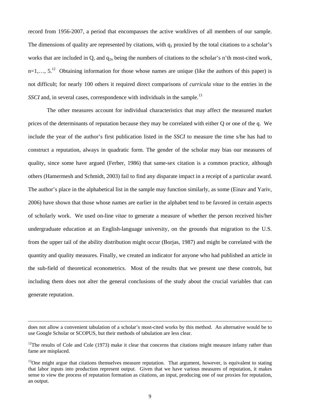record from 1956-2007, a period that encompasses the active worklives of all members of our sample. The dimensions of quality are represented by citations, with  $q_1$  proxied by the total citations to a scholar's works that are included in Q, and  $q_{2n}$  being the numbers of citations to the scholar's n'th most-cited work,  $n=1,\ldots, 5$ <sup>12</sup> Obtaining information for those whose names are unique (like the authors of this paper) is not difficult; for nearly 100 others it required direct comparisons of *curricula vitae* to the entries in the *SSCI* and, in several cases, correspondence with individuals in the sample.<sup>[13](#page-11-1)</sup>

The other measures account for individual characteristics that may affect the measured market prices of the determinants of reputation because they may be correlated with either Q or one of the q. We include the year of the author's first publication listed in the *SSCI* to measure the time s/he has had to construct a reputation, always in quadratic form. The gender of the scholar may bias our measures of quality, since some have argued (Ferber, 1986) that same-sex citation is a common practice, although others (Hamermesh and Schmidt, 2003) fail to find any disparate impact in a receipt of a particular award. The author's place in the alphabetical list in the sample may function similarly, as some (Einav and Yariv, 2006) have shown that those whose names are earlier in the alphabet tend to be favored in certain aspects of scholarly work. We used on-line *vitae* to generate a measure of whether the person received his/her undergraduate education at an English-language university, on the grounds that migration to the U.S. from the upper tail of the ability distribution might occur (Borjas, 1987) and might be correlated with the quantity and quality measures. Finally, we created an indicator for anyone who had published an article in the sub-field of theoretical econometrics. Most of the results that we present use these controls, but including them does not alter the general conclusions of the study about the crucial variables that can generate reputation.

does not allow a convenient tabulation of a scholar's most-cited works by this method. An alternative would be to use Google Scholar or SCOPUS, but their methods of tabulation are less clear.

<span id="page-11-0"></span><sup>&</sup>lt;sup>12</sup>The results of Cole and Cole (1973) make it clear that concerns that citations might measure infamy rather than fame are misplaced.

<span id="page-11-1"></span> $13$ One might argue that citations themselves measure reputation. That argument, however, is equivalent to stating that labor inputs into production represent output. Given that we have various measures of reputation, it makes sense to view the process of reputation formation as citations, an input, producing one of our proxies for reputation, an output.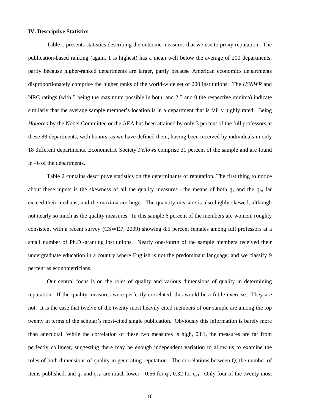#### **IV. Descriptive Statistics**

Table 1 presents statistics describing the outcome measures that we use to proxy reputation. The publication-based ranking (again, 1 is highest) has a mean well below the average of 200 departments, partly because higher-ranked departments are larger, partly because American economics departments disproportionately comprise the higher ranks of the world-wide set of 200 institutions. The *USNWR* and NRC ratings (with 5 being the maximum possible in both, and 2.5 and 0 the respective minima) indicate similarly that the average sample member's location is in a department that is fairly highly rated. Being *Honored* by the Nobel Committee or the AEA has been attained by only 3 percent of the full professors at these 88 departments, with honors, as we have defined them, having been received by individuals in only 18 different departments. Econometric Society *Fellows* comprise 21 percent of the sample and are found in 46 of the departments.

Table 2 contains descriptive statistics on the determinants of reputation. The first thing to notice about these inputs is the skewness of all the quality measures—the means of both  $q_1$  and the  $q_{2n}$  far exceed their medians; and the maxima are huge. The quantity measure is also highly skewed, although not nearly so much as the quality measures. In this sample 6 percent of the members are women, roughly consistent with a recent survey (CSWEP, 2009) showing 8.5 percent females among full professors at a small number of Ph.D.-granting institutions. Nearly one-fourth of the sample members received their undergraduate education in a country where English is not the predominant language, and we classify 9 percent as econometricians.

Our central focus is on the roles of quality and various dimensions of quality in determining reputation. If the quality measures were perfectly correlated, this would be a futile exercise. They are not. It is the case that twelve of the twenty most heavily cited members of our sample are among the top twenty in terms of the scholar's most-cited single publication. Obviously this information is barely more than anecdotal. While the correlation of these two measures is high, 0.81, the measures are far from perfectly collinear, suggesting there may be enough independent variation to allow us to examine the roles of both dimensions of quality in generating reputation. The correlations between Q, the number of items published, and  $q_1$  and  $q_{21}$ , are much lower—0.56 for  $q_1$ , 0.32 for  $q_{21}$ . Only four of the twenty most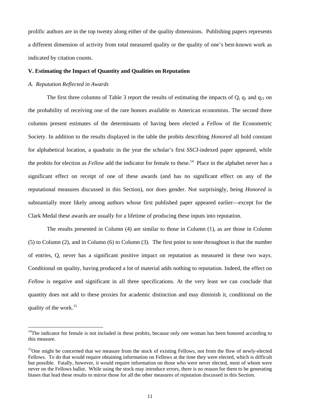prolific authors are in the top twenty along either of the quality dimensions. Publishing papers represents a different dimension of activity from total measured quality or the quality of one's best-known work as indicated by citation counts.

#### **V. Estimating the Impact of Quantity and Qualities on Reputation**

#### *A. Reputation Reflected in Awards*

 $\overline{a}$ 

The first three columns of Table 3 report the results of estimating the impacts of  $Q$ ,  $q_1$  and  $q_{21}$  on the probability of receiving one of the rare honors available to American economists. The second three columns present estimates of the determinants of having been elected a *Fellow* of the Econometric Society. In addition to the results displayed in the table the probits describing *Honored* all hold constant for alphabetical location, a quadratic in the year the scholar's first *SSCI*-indexed paper appeared, while the probits for election as *Fellow* add the indicator for female to these.<sup>14</sup> Place in the alphabet never has a significant effect on receipt of one of these awards (and has no significant effect on any of the reputational measures discussed in this Section), nor does gender. Not surprisingly, being *Honored* is substantially more likely among authors whose first published paper appeared earlier—except for the Clark Medal these awards are usually for a lifetime of producing these inputs into reputation.

The results presented in Column (4) are similar to those in Column (1), as are those in Column (5) to Column (2), and in Column (6) to Column (3). The first point to note throughout is that the number of entries, Q, never has a significant positive impact on reputation as measured in these two ways. Conditional on quality, having produced a lot of material adds nothing to reputation. Indeed, the effect on *Fellow* is negative and significant in all three specifications. At the very least we can conclude that quantity does not add to these proxies for academic distinction and may diminish it, conditional on the quality of the work. $15$ 

<span id="page-13-0"></span><sup>&</sup>lt;sup>14</sup>The indicator for female is not included in these probits, because only one woman has been honored according to this measure.

<span id="page-13-1"></span><sup>&</sup>lt;sup>15</sup>One might be concerned that we measure from the stock of existing Fellows, not from the flow of newly-elected Fellows. To do that would require obtaining information on Fellows at the time they were elected, which is difficult but possible. Fatally, however, it would require information on those who were never elected, most of whom were never on the Fellows ballot. While using the stock may introduce errors, there is no reason for them to be generating biases that lead these results to mirror those for all the other measures of reputation discussed in this Section.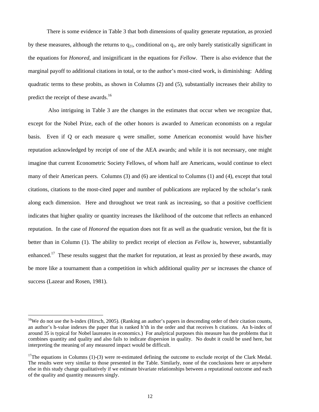There is some evidence in Table 3 that both dimensions of quality generate reputation, as proxied by these measures, although the returns to  $q_{21}$ , conditional on  $q_1$ , are only barely statistically significant in the equations for *Honored*, and insignificant in the equations for *Fellow*. There is also evidence that the marginal payoff to additional citations in total, or to the author's most-cited work, is diminishing: Adding quadratic terms to these probits, as shown in Columns (2) and (5), substantially increases their ability to predict the receipt of these awards.<sup>16</sup>

Also intriguing in Table 3 are the changes in the estimates that occur when we recognize that, except for the Nobel Prize, each of the other honors is awarded to American economists on a regular basis. Even if Q or each measure q were smaller, some American economist would have his/her reputation acknowledged by receipt of one of the AEA awards; and while it is not necessary, one might imagine that current Econometric Society Fellows, of whom half are Americans, would continue to elect many of their American peers. Columns (3) and (6) are identical to Columns (1) and (4), except that total citations, citations to the most-cited paper and number of publications are replaced by the scholar's rank along each dimension. Here and throughout we treat rank as increasing, so that a positive coefficient indicates that higher quality or quantity increases the likelihood of the outcome that reflects an enhanced reputation. In the case of *Honored* the equation does not fit as well as the quadratic version, but the fit is better than in Column (1). The ability to predict receipt of election as *Fellow* is, however, substantially enhanced.<sup>17</sup> These results suggest that the market for reputation, at least as proxied by these awards, may be more like a tournament than a competition in which additional quality *per se* increases the chance of success (Lazear and Rosen, 1981).

<span id="page-14-0"></span><sup>&</sup>lt;sup>16</sup>We do not use the h-index (Hirsch, 2005). (Ranking an author's papers in descending order of their citation counts, an author's h-value indexes the paper that is ranked h'th in the order and that receives h citations. An h-index of around 35 is typical for Nobel laureates in economics.) For analytical purposes this measure has the problems that it combines quantity and quality and also fails to indicate dispersion in quality. No doubt it could be used here, but interpreting the meaning of any measured impact would be difficult.

<span id="page-14-1"></span><sup>&</sup>lt;sup>17</sup>The equations in Columns (1)-(3) were re-estimated defining the outcome to exclude receipt of the Clark Medal. The results were very similar to those presented in the Table. Similarly, none of the conclusions here or anywhere else in this study change qualitatively if we estimate bivariate relationships between a reputational outcome and each of the quality and quantity measures singly.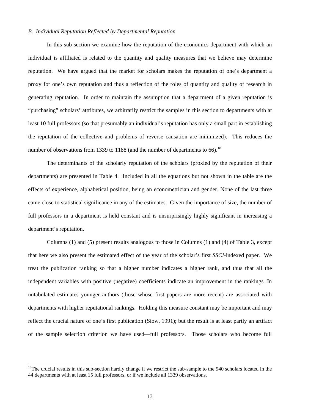#### *B. Individual Reputation Reflected by Departmental Reputation*

In this sub-section we examine how the reputation of the economics department with which an individual is affiliated is related to the quantity and quality measures that we believe may determine reputation. We have argued that the market for scholars makes the reputation of one's department a proxy for one's own reputation and thus a reflection of the roles of quantity and quality of research in generating reputation. In order to maintain the assumption that a department of a given reputation is "purchasing" scholars' attributes, we arbitrarily restrict the samples in this section to departments with at least 10 full professors (so that presumably an individual's reputation has only a small part in establishing the reputation of the collective and problems of reverse causation are minimized). This reduces the number of observations from 1339 to 1[18](#page-15-0)8 (and the number of departments to 66).<sup>18</sup>

The determinants of the scholarly reputation of the scholars (proxied by the reputation of their departments) are presented in Table 4. Included in all the equations but not shown in the table are the effects of experience, alphabetical position, being an econometrician and gender. None of the last three came close to statistical significance in any of the estimates. Given the importance of size, the number of full professors in a department is held constant and is unsurprisingly highly significant in increasing a department's reputation.

Columns (1) and (5) present results analogous to those in Columns (1) and (4) of Table 3, except that here we also present the estimated effect of the year of the scholar's first *SSCI*-indexed paper. We treat the publication ranking so that a higher number indicates a higher rank, and thus that all the independent variables with positive (negative) coefficients indicate an improvement in the rankings. In untabulated estimates younger authors (those whose first papers are more recent) are associated with departments with higher reputational rankings. Holding this measure constant may be important and may reflect the crucial nature of one's first publication (Siow, 1991); but the result is at least partly an artifact of the sample selection criterion we have used—full professors. Those scholars who become full

<span id="page-15-0"></span> $18$ The crucial results in this sub-section hardly change if we restrict the sub-sample to the 940 scholars located in the 44 departments with at least 15 full professors, or if we include all 1339 observations.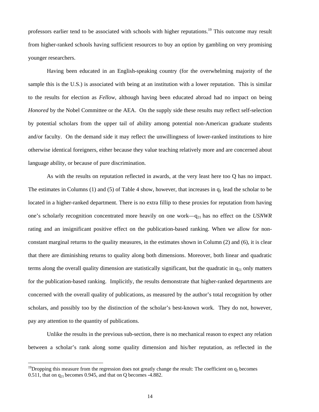professors earlier tend to be associated with schools with higher reputations[.19](#page-16-0) This outcome may result from higher-ranked schools having sufficient resources to buy an option by gambling on very promising younger researchers.

Having been educated in an English-speaking country (for the overwhelming majority of the sample this is the U.S.) is associated with being at an institution with a lower reputation. This is similar to the results for election as *Fellow*, although having been educated abroad had no impact on being *Honored* by the Nobel Committee or the AEA. On the supply side these results may reflect self-selection by potential scholars from the upper tail of ability among potential non-American graduate students and/or faculty. On the demand side it may reflect the unwillingness of lower-ranked institutions to hire otherwise identical foreigners, either because they value teaching relatively more and are concerned about language ability, or because of pure discrimination.

As with the results on reputation reflected in awards, at the very least here too Q has no impact. The estimates in Columns (1) and (5) of Table 4 show, however, that increases in  $q_1$  lead the scholar to be located in a higher-ranked department. There is no extra fillip to these proxies for reputation from having one's scholarly recognition concentrated more heavily on one work—q<sub>21</sub> has no effect on the *USNWR* rating and an insignificant positive effect on the publication-based ranking. When we allow for nonconstant marginal returns to the quality measures, in the estimates shown in Column (2) and (6), it is clear that there are diminishing returns to quality along both dimensions. Moreover, both linear and quadratic terms along the overall quality dimension are statistically significant, but the quadratic in  $q_{21}$  only matters for the publication-based ranking. Implicitly, the results demonstrate that higher-ranked departments are concerned with the overall quality of publications, as measured by the author's total recognition by other scholars, and possibly too by the distinction of the scholar's best-known work. They do not, however, pay any attention to the quantity of publications.

Unlike the results in the previous sub-section, there is no mechanical reason to expect any relation between a scholar's rank along some quality dimension and his/her reputation, as reflected in the

<span id="page-16-0"></span><sup>&</sup>lt;sup>19</sup>Dropping this measure from the regression does not greatly change the result: The coefficient on  $q_1$  becomes 0.511, that on  $q_{21}$  becomes 0.945, and that on Q becomes -4.882.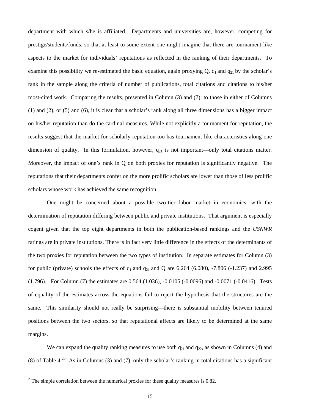department with which s/he is affiliated. Departments and universities are, however, competing for prestige/students/funds, so that at least to some extent one might imagine that there are tournament-like aspects to the market for individuals' reputations as reflected in the ranking of their departments. To examine this possibility we re-estimated the basic equation, again proxying  $Q$ ,  $q_1$  and  $q_{21}$  by the scholar's rank in the sample along the criteria of number of publications, total citations and citations to his/her most-cited work. Comparing the results, presented in Column (3) and (7), to those in either of Columns (1) and (2), or (5) and (6), it is clear that a scholar's rank along all three dimensions has a bigger impact on his/her reputation than do the cardinal measures. While not explicitly a tournament for reputation, the results suggest that the market for scholarly reputation too has tournament-like characteristics along one dimension of quality. In this formulation, however,  $q_{21}$  is not important—only total citations matter. Moreover, the impact of one's rank in Q on both proxies for reputation is significantly negative. The reputations that their departments confer on the more prolific scholars are lower than those of less prolific scholars whose work has achieved the same recognition.

One might be concerned about a possible two-tier labor market in economics, with the determination of reputation differing between public and private institutions. That argument is especially cogent given that the top eight departments in both the publication-based rankings and the *USNWR* ratings are in private institutions. There is in fact very little difference in the effects of the determinants of the two proxies for reputation between the two types of institution. In separate estimates for Column (3) for public (private) schools the effects of  $q_1$  and  $q_{21}$  and Q are 6.264 (6.080), -7.806 (-1.237) and 2.995 (1.796). For Column (7) the estimates are 0.564 (1.036), -0.0105 (-0.0096) and -0.0071 (-0.0416). Tests of equality of the estimates across the equations fail to reject the hypothesis that the structures are the same. This similarity should not really be surprising—there is substantial mobility between tenured positions between the two sectors, so that reputational affects are likely to be determined at the same margins.

We can expand the quality ranking measures to use both  $q_{21}$  and  $q_{22}$ , as shown in Columns (4) and (8) of Table 4.<sup>20</sup> As in Columns (3) and (7), only the scholar's ranking in total citations has a significant

<span id="page-17-0"></span><sup>&</sup>lt;sup>20</sup>The simple correlation between the numerical proxies for these quality measures is 0.82.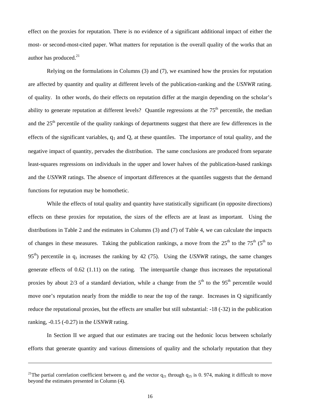effect on the proxies for reputation. There is no evidence of a significant additional impact of either the most- or second-most-cited paper. What matters for reputation is the overall quality of the works that an author has produced.<sup>[21](#page-18-0)</sup>

Relying on the formulations in Columns (3) and (7), we examined how the proxies for reputation are affected by quantity and quality at different levels of the publication-ranking and the *USNWR* rating. of quality. In other words, do their effects on reputation differ at the margin depending on the scholar's ability to generate reputation at different levels? Quantile regressions at the  $75<sup>th</sup>$  percentile, the median and the 25<sup>th</sup> percentile of the quality rankings of departments suggest that there are few differences in the effects of the significant variables,  $q_1$  and  $Q$ , at these quantiles. The importance of total quality, and the negative impact of quantity, pervades the distribution. The same conclusions are produced from separate least-squares regressions on individuals in the upper and lower halves of the publication-based rankings and the *USNWR* ratings. The absence of important differences at the quantiles suggests that the demand functions for reputation may be homothetic.

While the effects of total quality and quantity have statistically significant (in opposite directions) effects on these proxies for reputation, the sizes of the effects are at least as important. Using the distributions in Table 2 and the estimates in Columns (3) and (7) of Table 4, we can calculate the impacts of changes in these measures. Taking the publication rankings, a move from the  $25<sup>th</sup>$  to the  $75<sup>th</sup>$  (5<sup>th</sup> to 95<sup>th</sup>) percentile in  $q_1$  increases the ranking by 42 (75). Using the *USNWR* ratings, the same changes generate effects of 0.62 (1.11) on the rating. The interquartile change thus increases the reputational proxies by about 2/3 of a standard deviation, while a change from the  $5<sup>th</sup>$  to the 95<sup>th</sup> percentile would move one's reputation nearly from the middle to near the top of the range. Increases in Q significantly reduce the reputational proxies, but the effects are smaller but still substantial: -18 (-32) in the publication ranking, -0.15 (-0.27) in the *USNWR* rating.

In Section II we argued that our estimates are tracing out the hedonic locus between scholarly efforts that generate quantity and various dimensions of quality and the scholarly reputation that they

<span id="page-18-0"></span><sup>&</sup>lt;sup>21</sup>The partial correlation coefficient between  $q_1$  and the vector  $q_{21}$  through  $q_{25}$  is 0. 974, making it difficult to move beyond the estimates presented in Column (4).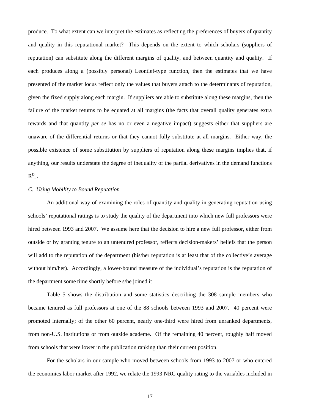produce. To what extent can we interpret the estimates as reflecting the preferences of buyers of quantity and quality in this reputational market? This depends on the extent to which scholars (suppliers of reputation) can substitute along the different margins of quality, and between quantity and quality. If each produces along a (possibly personal) Leontief-type function, then the estimates that we have presented of the market locus reflect only the values that buyers attach to the determinants of reputation, given the fixed supply along each margin. If suppliers are able to substitute along these margins, then the failure of the market returns to be equated at all margins (the facts that overall quality generates extra rewards and that quantity *per se* has no or even a negative impact) suggests either that suppliers are unaware of the differential returns or that they cannot fully substitute at all margins. Either way, the possible existence of some substitution by suppliers of reputation along these margins implies that, if anything, our results understate the degree of inequality of the partial derivatives in the demand functions  $R^{\text{D}}_{\;\;i}$  .

# *C. Using Mobility to Bound Reputation*

An additional way of examining the roles of quantity and quality in generating reputation using schools' reputational ratings is to study the quality of the department into which new full professors were hired between 1993 and 2007. We assume here that the decision to hire a new full professor, either from outside or by granting tenure to an untenured professor, reflects decision-makers' beliefs that the person will add to the reputation of the department (his/her reputation is at least that of the collective's average without him/her). Accordingly, a lower-bound measure of the individual's reputation is the reputation of the department some time shortly before s/he joined it

Table 5 shows the distribution and some statistics describing the 308 sample members who became tenured as full professors at one of the 88 schools between 1993 and 2007. 40 percent were promoted internally; of the other 60 percent, nearly one-third were hired from unranked departments, from non-U.S. institutions or from outside academe. Of the remaining 40 percent, roughly half moved from schools that were lower in the publication ranking than their current position.

For the scholars in our sample who moved between schools from 1993 to 2007 or who entered the economics labor market after 1992, we relate the 1993 NRC quality rating to the variables included in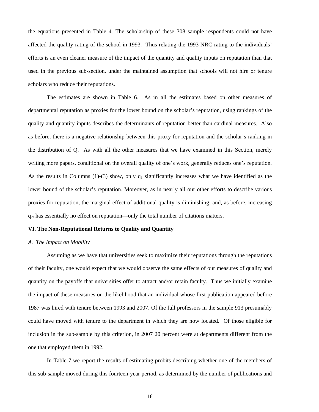the equations presented in Table 4. The scholarship of these 308 sample respondents could not have affected the quality rating of the school in 1993. Thus relating the 1993 NRC rating to the individuals' efforts is an even cleaner measure of the impact of the quantity and quality inputs on reputation than that used in the previous sub-section, under the maintained assumption that schools will not hire or tenure scholars who reduce their reputations.

The estimates are shown in Table 6. As in all the estimates based on other measures of departmental reputation as proxies for the lower bound on the scholar's reputation, using rankings of the quality and quantity inputs describes the determinants of reputation better than cardinal measures. Also as before, there is a negative relationship between this proxy for reputation and the scholar's ranking in the distribution of Q. As with all the other measures that we have examined in this Section, merely writing more papers, conditional on the overall quality of one's work, generally reduces one's reputation. As the results in Columns (1)-(3) show, only  $q_1$  significantly increases what we have identified as the lower bound of the scholar's reputation. Moreover, as in nearly all our other efforts to describe various proxies for reputation, the marginal effect of additional quality is diminishing; and, as before, increasing  $q_{21}$  has essentially no effect on reputation—only the total number of citations matters.

# **VI. The Non-Reputational Returns to Quality and Quantity**

#### *A. The Impact on Mobility*

Assuming as we have that universities seek to maximize their reputations through the reputations of their faculty, one would expect that we would observe the same effects of our measures of quality and quantity on the payoffs that universities offer to attract and/or retain faculty. Thus we initially examine the impact of these measures on the likelihood that an individual whose first publication appeared before 1987 was hired with tenure between 1993 and 2007. Of the full professors in the sample 913 presumably could have moved with tenure to the department in which they are now located. Of those eligible for inclusion in the sub-sample by this criterion, in 2007 20 percent were at departments different from the one that employed them in 1992.

In Table 7 we report the results of estimating probits describing whether one of the members of this sub-sample moved during this fourteen-year period, as determined by the number of publications and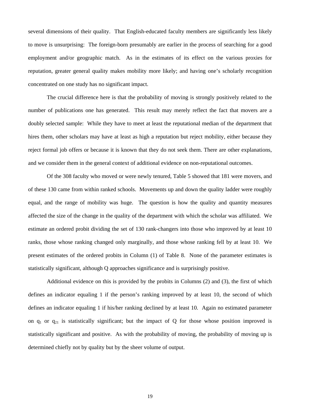several dimensions of their quality. That English-educated faculty members are significantly less likely to move is unsurprising: The foreign-born presumably are earlier in the process of searching for a good employment and/or geographic match. As in the estimates of its effect on the various proxies for reputation, greater general quality makes mobility more likely; and having one's scholarly recognition concentrated on one study has no significant impact.

The crucial difference here is that the probability of moving is strongly positively related to the number of publications one has generated. This result may merely reflect the fact that movers are a doubly selected sample: While they have to meet at least the reputational median of the department that hires them, other scholars may have at least as high a reputation but reject mobility, either because they reject formal job offers or because it is known that they do not seek them. There are other explanations, and we consider them in the general context of additional evidence on non-reputational outcomes.

Of the 308 faculty who moved or were newly tenured, Table 5 showed that 181 were movers, and of these 130 came from within ranked schools. Movements up and down the quality ladder were roughly equal, and the range of mobility was huge. The question is how the quality and quantity measures affected the size of the change in the quality of the department with which the scholar was affiliated. We estimate an ordered probit dividing the set of 130 rank-changers into those who improved by at least 10 ranks, those whose ranking changed only marginally, and those whose ranking fell by at least 10. We present estimates of the ordered probits in Column (1) of Table 8. None of the parameter estimates is statistically significant, although Q approaches significance and is surprisingly positive.

Additional evidence on this is provided by the probits in Columns (2) and (3), the first of which defines an indicator equaling 1 if the person's ranking improved by at least 10, the second of which defines an indicator equaling 1 if his/her ranking declined by at least 10. Again no estimated parameter on  $q_1$  or  $q_{21}$  is statistically significant; but the impact of Q for those whose position improved is statistically significant and positive. As with the probability of moving, the probability of moving up is determined chiefly not by quality but by the sheer volume of output.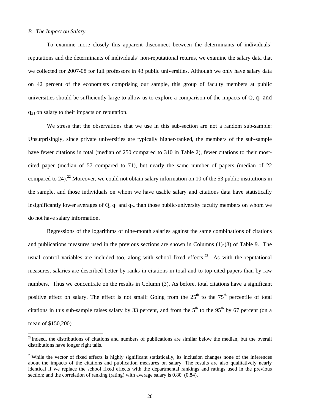#### *B. The Impact on Salary*

 $\overline{a}$ 

To examine more closely this apparent disconnect between the determinants of individuals' reputations and the determinants of individuals' non-reputational returns, we examine the salary data that we collected for 2007-08 for full professors in 43 public universities. Although we only have salary data on 42 percent of the economists comprising our sample, this group of faculty members at public universities should be sufficiently large to allow us to explore a comparison of the impacts of  $O$ ,  $q_1$  and q21 on salary to their impacts on reputation.

We stress that the observations that we use in this sub-section are not a random sub-sample: Unsurprisingly, since private universities are typically higher-ranked, the members of the sub-sample have fewer citations in total (median of 250 compared to 310 in Table 2), fewer citations to their mostcited paper (median of 57 compared to 71), but nearly the same number of papers (median of 22 compared to 24).<sup>22</sup> Moreover, we could not obtain salary information on 10 of the 53 public institutions in the sample, and those individuals on whom we have usable salary and citations data have statistically insignificantly lower averages of Q,  $q_1$  and  $q_{2n}$  than those public-university faculty members on whom we do not have salary information.

Regressions of the logarithms of nine-month salaries against the same combinations of citations and publications measures used in the previous sections are shown in Columns (1)-(3) of Table 9. The usual control variables are included too, along with school fixed effects.<sup>23</sup> As with the reputational measures, salaries are described better by ranks in citations in total and to top-cited papers than by raw numbers. Thus we concentrate on the results in Column (3). As before, total citations have a significant positive effect on salary. The effect is not small: Going from the  $25<sup>th</sup>$  to the  $75<sup>th</sup>$  percentile of total citations in this sub-sample raises salary by 33 percent, and from the  $5<sup>th</sup>$  to the 95<sup>th</sup> by 67 percent (on a mean of \$150,200).

<span id="page-22-0"></span> $^{22}$ Indeed, the distributions of citations and numbers of publications are similar below the median, but the overall distributions have longer right tails.

<span id="page-22-1"></span> $23$ While the vector of fixed effects is highly significant statistically, its inclusion changes none of the inferences about the impacts of the citations and publication measures on salary. The results are also qualitatively nearly identical if we replace the school fixed effects with the departmental rankings and ratings used in the previous section; and the correlation of ranking (rating) with average salary is 0.80 (0.84).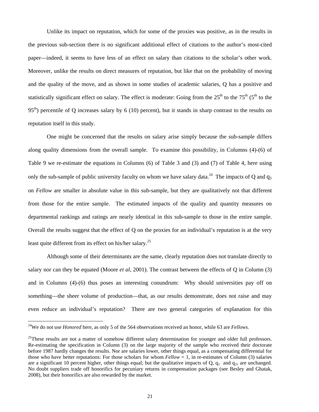Unlike its impact on reputation, which for some of the proxies was positive, as in the results in the previous sub-section there is no significant additional effect of citations to the author's most-cited paper—indeed, it seems to have less of an effect on salary than citations to the scholar's other work. Moreover, unlike the results on direct measures of reputation, but like that on the probability of moving and the quality of the move, and as shown in some studies of academic salaries, Q has a positive and statistically significant effect on salary. The effect is moderate: Going from the  $25<sup>th</sup>$  to the  $75<sup>th</sup>$  ( $5<sup>th</sup>$  to the  $95<sup>th</sup>$ ) percentile of Q increases salary by 6 (10) percent), but it stands in sharp contrast to the results on reputation itself in this study.

One might be concerned that the results on salary arise simply because the sub-sample differs along quality dimensions from the overall sample. To examine this possibility, in Columns (4)-(6) of Table 9 we re-estimate the equations in Columns (6) of Table 3 and (3) and (7) of Table 4, here using only the sub-sample of public university faculty on whom we have salary data.<sup>24</sup> The impacts of Q and  $q_1$ on *Fellow* are smaller in absolute value in this sub-sample, but they are qualitatively not that different from those for the entire sample. The estimated impacts of the quality and quantity measures on departmental rankings and ratings are nearly identical in this sub-sample to those in the entire sample. Overall the results suggest that the effect of Q on the proxies for an individual's reputation is at the very least quite different from its effect on his/her salary.<sup>25</sup>

Although some of their determinants are the same, clearly reputation does not translate directly to salary nor can they be equated (Moore *et al*, 2001). The contrast between the effects of Q in Column (3) and in Columns (4)-(6) thus poses an interesting conundrum: Why should universities pay off on something—the sheer volume of production—that, as our results demonstrate, does not raise and may even reduce an individual's reputation? There are two general categories of explanation for this

<span id="page-23-0"></span><sup>24</sup>We do not use *Honored* here, as only 5 of the 564 observations received an honor, while 63 are *Fellows*.

<span id="page-23-1"></span><sup>&</sup>lt;sup>25</sup>These results are not a matter of somehow different salary determination for younger and older full professors. Re-estimating the specification in Column (3) on the large majority of the sample who received their doctorate before 1987 hardly changes the results. Nor are salaries lower, other things equal, as a compensating differential for those who have better reputations: For those scholars for whom  $Fellow = 1$ , in re-estimates of Column (3) salaries are a significant 10 percent higher, other things equal; but the qualitative impacts of  $Q$ ,  $q_1$  and  $q_{21}$  are unchanged. No doubt suppliers trade off honorifics for pecuniary returns in compensation packages (see Besley and Ghatak, 2008), but their honorifics are also rewarded by the market.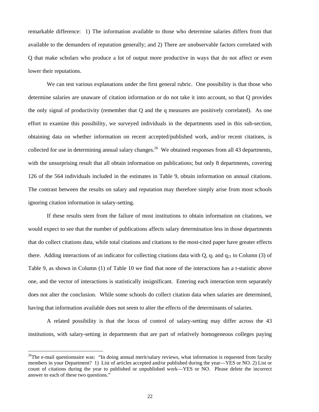remarkable difference: 1) The information available to those who determine salaries differs from that available to the demanders of reputation generally; and 2) There are unobservable factors correlated with Q that make scholars who produce a lot of output more productive in ways that do not affect or even lower their reputations.

We can test various explanations under the first general rubric. One possibility is that those who determine salaries are unaware of citation information or do not take it into account, so that Q provides the only signal of productivity (remember that Q and the q measures are positively correlated). As one effort to examine this possibility, we surveyed individuals in the departments used in this sub-section, obtaining data on whether information on recent accepted/published work, and/or recent citations, is collected for use in determining annual salary changes.<sup>26</sup> We obtained responses from all 43 departments, with the unsurprising result that all obtain information on publications; but only 8 departments, covering 126 of the 564 individuals included in the estimates in Table 9, obtain information on annual citations. The contrast between the results on salary and reputation may therefore simply arise from most schools ignoring citation information in salary-setting.

If these results stem from the failure of most institutions to obtain information on citations, we would expect to see that the number of publications affects salary determination less in those departments that do collect citations data, while total citations and citations to the most-cited paper have greater effects there. Adding interactions of an indicator for collecting citations data with Q,  $q_1$  and  $q_{21}$  to Column (3) of Table 9, as shown in Column (1) of Table 10 we find that none of the interactions has a t-statistic above one, and the vector of interactions is statistically insignificant. Entering each interaction term separately does not alter the conclusion. While some schools do collect citation data when salaries are determined, having that information available does not seem to alter the effects of the determinants of salaries.

A related possibility is that the locus of control of salary-setting may differ across the 43 institutions, with salary-setting in departments that are part of relatively homogeneous colleges paying

<span id="page-24-0"></span><sup>&</sup>lt;sup>26</sup>The e-mail questionnaire was: "In doing annual merit/salary reviews, what information is requested from faculty members in your Department? 1) List of articles accepted and/or published during the year—YES or NO. 2) List or count of citations during the year to published or unpublished work—YES or NO. Please delete the incorrect answer to each of these two questions."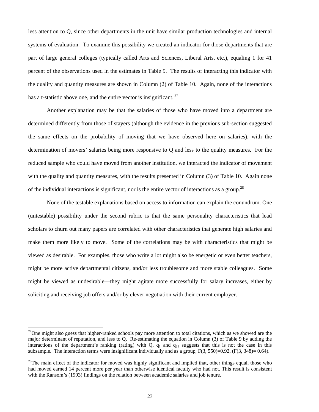less attention to Q, since other departments in the unit have similar production technologies and internal systems of evaluation. To examine this possibility we created an indicator for those departments that are part of large general colleges (typically called Arts and Sciences, Liberal Arts, etc.), equaling 1 for 41 percent of the observations used in the estimates in Table 9. The results of interacting this indicator with the quality and quantity measures are shown in Column (2) of Table 10. Again, none of the interactions has a t-statistic above one, and the entire vector is insignificant.  $27$ 

Another explanation may be that the salaries of those who have moved into a department are determined differently from those of stayers (although the evidence in the previous sub-section suggested the same effects on the probability of moving that we have observed here on salaries), with the determination of movers' salaries being more responsive to Q and less to the quality measures. For the reduced sample who could have moved from another institution, we interacted the indicator of movement with the quality and quantity measures, with the results presented in Column (3) of Table 10. Again none of the individual interactions is significant, nor is the entire vector of interactions as a group.<sup>28</sup>

None of the testable explanations based on access to information can explain the conundrum. One (untestable) possibility under the second rubric is that the same personality characteristics that lead scholars to churn out many papers are correlated with other characteristics that generate high salaries and make them more likely to move. Some of the correlations may be with characteristics that might be viewed as desirable. For examples, those who write a lot might also be energetic or even better teachers, might be more active departmental citizens, and/or less troublesome and more stable colleagues. Some might be viewed as undesirable—they might agitate more successfully for salary increases, either by soliciting and receiving job offers and/or by clever negotiation with their current employer.

<span id="page-25-0"></span> $^{27}$ One might also guess that higher-ranked schools pay more attention to total citations, which as we showed are the major determinant of reputation, and less to Q. Re-estimating the equation in Column (3) of Table 9 by adding the interactions of the department's ranking (rating) with  $Q$ ,  $q_1$  and  $q_{21}$  suggests that this is not the case in this subsample. The interaction terms were insignificant individually and as a group,  $F(3, 550)=0.92$ ,  $(F(3, 348)=0.64)$ .

<span id="page-25-1"></span> $28$ The main effect of the indicator for moved was highly significant and implied that, other things equal, those who had moved earned 14 percent more per year than otherwise identical faculty who had not. This result is consistent with the Ransom's (1993) findings on the relation between academic salaries and job tenure.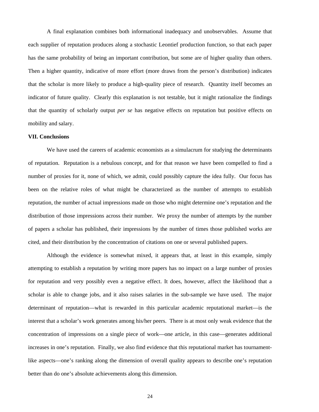A final explanation combines both informational inadequacy and unobservables. Assume that each supplier of reputation produces along a stochastic Leontief production function, so that each paper has the same probability of being an important contribution, but some are of higher quality than others. Then a higher quantity, indicative of more effort (more draws from the person's distribution) indicates that the scholar is more likely to produce a high-quality piece of research. Quantity itself becomes an indicator of future quality. Clearly this explanation is not testable, but it might rationalize the findings that the quantity of scholarly output *per se* has negative effects on reputation but positive effects on mobility and salary.

#### **VII. Conclusions**

We have used the careers of academic economists as a simulacrum for studying the determinants of reputation. Reputation is a nebulous concept, and for that reason we have been compelled to find a number of proxies for it, none of which, we admit, could possibly capture the idea fully. Our focus has been on the relative roles of what might be characterized as the number of attempts to establish reputation, the number of actual impressions made on those who might determine one's reputation and the distribution of those impressions across their number. We proxy the number of attempts by the number of papers a scholar has published, their impressions by the number of times those published works are cited, and their distribution by the concentration of citations on one or several published papers.

Although the evidence is somewhat mixed, it appears that, at least in this example, simply attempting to establish a reputation by writing more papers has no impact on a large number of proxies for reputation and very possibly even a negative effect. It does, however, affect the likelihood that a scholar is able to change jobs, and it also raises salaries in the sub-sample we have used. The major determinant of reputation—what is rewarded in this particular academic reputational market—is the interest that a scholar's work generates among his/her peers. There is at most only weak evidence that the concentration of impressions on a single piece of work—one article, in this case—generates additional increases in one's reputation. Finally, we also find evidence that this reputational market has tournamentlike aspects—one's ranking along the dimension of overall quality appears to describe one's reputation better than do one's absolute achievements along this dimension.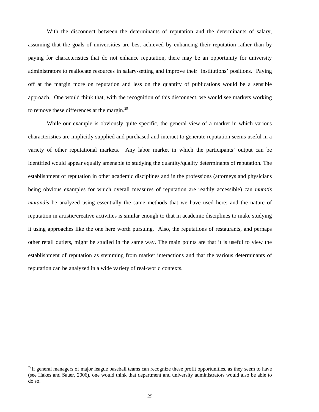With the disconnect between the determinants of reputation and the determinants of salary, assuming that the goals of universities are best achieved by enhancing their reputation rather than by paying for characteristics that do not enhance reputation, there may be an opportunity for university administrators to reallocate resources in salary-setting and improve their institutions' positions. Paying off at the margin more on reputation and less on the quantity of publications would be a sensible approach. One would think that, with the recognition of this disconnect, we would see markets working to remove these differences at the margin.<sup>[29](#page-27-0)</sup>

While our example is obviously quite specific, the general view of a market in which various characteristics are implicitly supplied and purchased and interact to generate reputation seems useful in a variety of other reputational markets. Any labor market in which the participants' output can be identified would appear equally amenable to studying the quantity/quality determinants of reputation. The establishment of reputation in other academic disciplines and in the professions (attorneys and physicians being obvious examples for which overall measures of reputation are readily accessible) can *mutatis mutandis* be analyzed using essentially the same methods that we have used here; and the nature of reputation in artistic/creative activities is similar enough to that in academic disciplines to make studying it using approaches like the one here worth pursuing. Also, the reputations of restaurants, and perhaps other retail outlets, might be studied in the same way. The main points are that it is useful to view the establishment of reputation as stemming from market interactions and that the various determinants of reputation can be analyzed in a wide variety of real-world contexts.

<span id="page-27-0"></span> $^{29}$ If general managers of major league baseball teams can recognize these profit opportunities, as they seem to have (see Hakes and Sauer, 2006), one would think that department and university administrators would also be able to do so.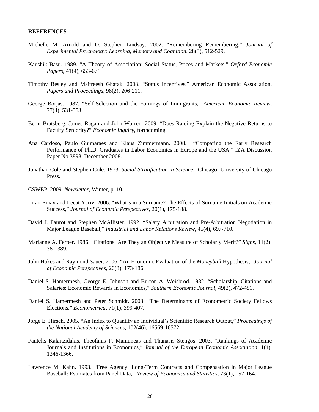#### **REFERENCES**

- Michelle M. Arnold and D. Stephen Lindsay. 2002. "Remembering Remembering," *Journal of Experimental Psychology: Learning, Memory and Cognition*, 28(3), 512-529.
- Kaushik Basu. 1989. "A Theory of Association: Social Status, Prices and Markets," *Oxford Economic Papers*, 41(4), 653-671.
- Timothy Besley and Maitreesh Ghatak. 2008. "Status Incentives," American Economic Association, *Papers and Proceeding*s, 98(2), 206-211.
- George Borjas. 1987. "Self-Selection and the Earnings of Immigrants," *American Economic Review*, 77(4), 531-553.
- Bernt Bratsberg, James Ragan and John Warren. 2009. "Does Raiding Explain the Negative Returns to Faculty Seniority?" *Economic Inquiry*, forthcoming.
- Ana Cardoso, Paulo Guimaraes and Klaus Zimmermann. 2008. "Comparing the Early Research Performance of Ph.D. Graduates in Labor Economics in Europe and the USA," IZA Discussion Paper No 3898, December 2008.
- Jonathan Cole and Stephen Cole. 1973. *Social Stratification in Science*. Chicago: University of Chicago Press.
- CSWEP. 2009. *Newsletter*, Winter, p. 10.
- Liran Einav and Leeat Yariv. 2006. "What's in a Surname? The Effects of Surname Initials on Academic Success," *Journal of Economic Perspectives*, 20(1), 175-188.
- David J. Faurot and Stephen McAllister. 1992. "Salary Arbitration and Pre-Arbitration Negotiation in Major League Baseball," *Industrial and Labor Relations Review*, 45(4), 697-710.
- Marianne A. Ferber. 1986. "Citations: Are They an Objective Measure of Scholarly Merit?" *Signs*, 11(2): 381-389.
- John Hakes and Raymond Sauer. 2006. "An Economic Evaluation of the *Moneyball* Hypothesis," *Journal of Economic Perspectives*, 20(3), 173-186.
- Daniel S. Hamermesh, George E. Johnson and Burton A. Weisbrod. 1982. "Scholarship, Citations and Salaries: Economic Rewards in Economics," *Southern Economic Journal*, 49(2), 472-481.
- Daniel S. Hamermesh and Peter Schmidt. 2003. "The Determinants of Econometric Society Fellows Elections," *Econometrica*, 71(1), 399-407.
- Jorge E. Hirsch. 2005. "An Index to Quantify an Individual's Scientific Research Output," *Proceedings of the National Academy of Sciences,* 102(46), 16569-16572.
- Pantelis Kalaitzidakis, Theofanis P. Mamuneas and Thanasis Stengos. 2003. "Rankings of Academic Journals and Institutions in Economics," *Journal of the European Economic Association*, 1(4), 1346-1366.
- Lawrence M. Kahn. 1993. "Free Agency, Long-Term Contracts and Compensation in Major League Baseball: Estimates from Panel Data," *Review of Economics and Statistics*, 73(1), 157-164.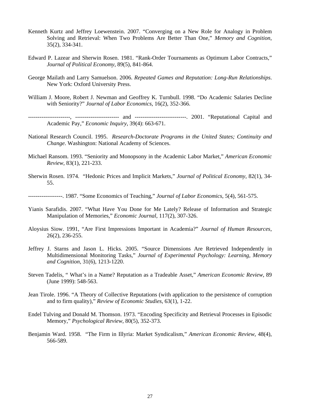- Kenneth Kurtz and Jeffrey Loewenstein. 2007. "Converging on a New Role for Analogy in Problem Solving and Retrieval: When Two Problems Are Better Than One," *Memory and Cognition*, 35(2), 334-341.
- Edward P. Lazear and Sherwin Rosen. 1981. "Rank-Order Tournaments as Optimum Labor Contracts," *Journal of Political Economy*, 89(5), 841-864.
- George Mailath and Larry Samuelson. 2006. *Repeated Games and Reputation: Long-Run Relationships*. New York: Oxford University Press.
- William J. Moore, Robert J. Newman and Geoffrey K. Turnbull. 1998. "Do Academic Salaries Decline with Seniority?" *Journal of Labor Economics*, 16(2), 352-366.

----------------------, ----------------------- and ---------------------------. 2001. "Reputational Capital and Academic Pay," *Economic Inquiry*, 39(4): 663-671.

- National Research Council. 1995. *Research-Doctorate Programs in the United States; Continuity and Change*. Washington: National Academy of Sciences.
- Michael Ransom. 1993. "Seniority and Monopsony in the Academic Labor Market," *American Economic Review*, 83(1), 221-233.
- Sherwin Rosen. 1974. "Hedonic Prices and Implicit Markets," *Journal of Political Economy*, 82(1), 34- 55.

------------------. 1987. "Some Economics of Teaching," *Journal of Labor Economics*, 5(4), 561-575.

- Yianis Sarafidis. 2007. "What Have You Done for Me Lately? Release of Information and Strategic Manipulation of Memories," *Economic Journal*, 117(2), 307-326.
- Aloysius Siow. 1991, "Are First Impressions Important in Academia?" *Journal of Human Resources*, 26(2), 236-255.
- Jeffrey J. Starns and Jason L. Hicks. 2005. "Source Dimensions Are Retrieved Independently in Multidimensional Monitoring Tasks," *Journal of Experimental Psychology: Learning, Memory and Cognition*, 31(6), 1213-1220.
- Steven Tadelis, " What's in a Name? Reputation as a Tradeable Asset," *American Economic Review*, 89 (June 1999): 548-563.
- Jean Tirole. 1996. "A Theory of Collective Reputations (with application to the persistence of corruption and to firm quality)," *Review of Economic Studies*, 63(1), 1-22.
- Endel Tulving and Donald M. Thomson. 1973. "Encoding Specificity and Retrieval Processes in Episodic Memory," *Psychological Review*, 80(5), 352-373.
- Benjamin Ward. 1958. "The Firm in Illyria: Market Syndicalism," *American Economic Review*, 48(4), 566-589.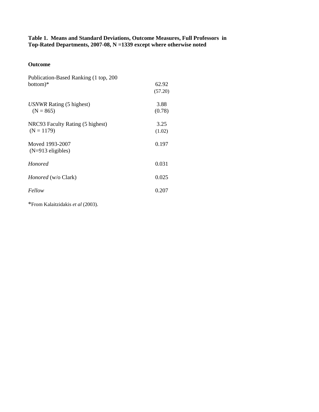# **Table 1. Means and Standard Deviations, Outcome Measures, Full Professors in Top-Rated Departments, 2007-08, N =1339 except where otherwise noted**

# **Outcome**

| Publication-Based Ranking (1 top, 200)<br>bottom)* | 62.92<br>(57.20) |
|----------------------------------------------------|------------------|
| USNWR Rating (5 highest)<br>$(N = 865)$            | 3.88<br>(0.78)   |
| NRC93 Faculty Rating (5 highest)<br>$(N = 1179)$   | 3.25<br>(1.02)   |
| Moved 1993-2007<br>$(N=913$ eligibles)             | 0.197            |
| <b>Honored</b>                                     | 0.031            |
| <i>Honored</i> (w/o Clark)                         | 0.025            |
| Fellow                                             | 0.207            |

\*From Kalaitzidakis *et al* (2003).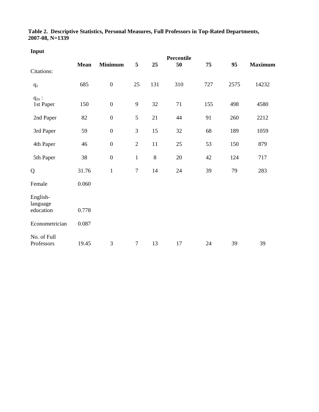#### **Table 2. Descriptive Statistics, Personal Measures, Full Professors in Top-Rated Departments, 2007-08, N=1339**

# **Input**

| ---pu                            |       |                  |                  |         | Percentile |     |      |                |
|----------------------------------|-------|------------------|------------------|---------|------------|-----|------|----------------|
| Citations:                       | Mean  | <b>Minimum</b>   | 5                | 25      | 50         | 75  | 95   | <b>Maximum</b> |
|                                  |       |                  |                  |         |            |     |      |                |
| $q_1$                            | 685   | $\boldsymbol{0}$ | 25               | 131     | 310        | 727 | 2575 | 14232          |
| $\mathbf{q}_{2n}$ :<br>1st Paper | 150   | $\boldsymbol{0}$ | $\mathbf{9}$     | 32      | 71         | 155 | 498  | 4580           |
| 2nd Paper                        | 82    | $\boldsymbol{0}$ | $\sqrt{5}$       | 21      | 44         | 91  | 260  | 2212           |
| 3rd Paper                        | 59    | $\boldsymbol{0}$ | $\mathfrak{Z}$   | 15      | 32         | 68  | 189  | 1059           |
| 4th Paper                        | 46    | $\boldsymbol{0}$ | $\sqrt{2}$       | $11\,$  | 25         | 53  | 150  | 879            |
| 5th Paper                        | 38    | $\boldsymbol{0}$ | $\,1$            | $\,8\,$ | 20         | 42  | 124  | 717            |
| Q                                | 31.76 | $\mathbf{1}$     | $\overline{7}$   | 14      | 24         | 39  | 79   | 283            |
| Female                           | 0.060 |                  |                  |         |            |     |      |                |
| English-<br>language             |       |                  |                  |         |            |     |      |                |
| education                        | 0.778 |                  |                  |         |            |     |      |                |
| Econometrician                   | 0.087 |                  |                  |         |            |     |      |                |
| No. of Full<br>Professors        | 19.45 | 3                | $\boldsymbol{7}$ | 13      | 17         | 24  | 39   | 39             |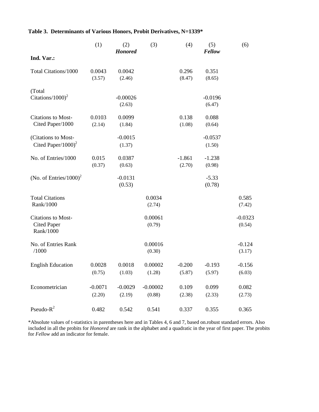# **Table 3. Determinants of Various Honors, Probit Derivatives, N=1339\***

|                                                       | (1)                 | (2)<br><b>Honored</b> | (3)                  | (4)                | (5)<br>Fellow       | (6)                 |
|-------------------------------------------------------|---------------------|-----------------------|----------------------|--------------------|---------------------|---------------------|
| Ind. Var.:                                            |                     |                       |                      |                    |                     |                     |
| Total Citations/1000                                  | 0.0043<br>(3.57)    | 0.0042<br>(2.46)      |                      | 0.296<br>(8.47)    | 0.351<br>(8.65)     |                     |
| (Total<br>Citations/ $1000$ <sup>2</sup>              |                     | $-0.00026$<br>(2.63)  |                      |                    | $-0.0196$<br>(6.47) |                     |
| Citations to Most-<br>Cited Paper/1000                | 0.0103<br>(2.14)    | 0.0099<br>(1.84)      |                      | 0.138<br>(1.08)    | 0.088<br>(0.64)     |                     |
| (Citations to Most-<br>Cited Paper/1000) <sup>2</sup> |                     | $-0.0015$<br>(1.37)   |                      |                    | $-0.0537$<br>(1.50) |                     |
| No. of Entries/1000                                   | 0.015<br>(0.37)     | 0.0387<br>(0.63)      |                      | $-1.861$<br>(2.70) | $-1.238$<br>(0.98)  |                     |
| (No. of Entries/1000) <sup>2</sup>                    |                     | $-0.0131$<br>(0.53)   |                      |                    | $-5.33$<br>(0.78)   |                     |
| <b>Total Citations</b><br>Rank/1000                   |                     |                       | 0.0034<br>(2.74)     |                    |                     | 0.585<br>(7.42)     |
| Citations to Most-<br><b>Cited Paper</b><br>Rank/1000 |                     |                       | 0.00061<br>(0.79)    |                    |                     | $-0.0323$<br>(0.54) |
| No. of Entries Rank<br>/1000                          |                     |                       | 0.00016<br>(0.30)    |                    |                     | $-0.124$<br>(3.17)  |
| <b>English Education</b>                              | 0.0028<br>(0.75)    | 0.0018<br>(1.03)      | 0.00002<br>(1.28)    | $-0.200$<br>(5.87) | $-0.193$<br>(5.97)  | $-0.156$<br>(6.03)  |
| Econometrician                                        | $-0.0071$<br>(2.20) | $-0.0029$<br>(2.19)   | $-0.00002$<br>(0.88) | 0.109<br>(2.38)    | 0.099<br>(2.33)     | 0.082<br>(2.73)     |
| Pseudo- $R^2$                                         | 0.482               | 0.542                 | 0.541                | 0.337              | 0.355               | 0.365               |

\*Absolute values of t-statistics in parentheses here and in Tables 4, 6 and 7, based on.robust standard errors. Also included in all the probits for *Honored* are rank in the alphabet and a quadratic in the year of first paper. The probits for *Fellow* add an indicator for female.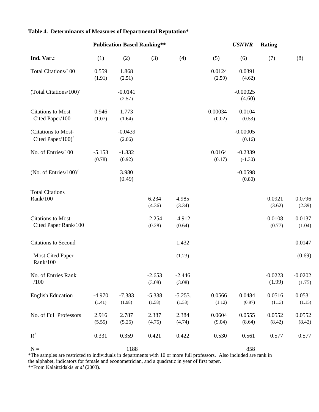# **Table 4. Determinants of Measures of Departmental Reputation\***

|                                                   |                    | <b>Publication-Based Ranking**</b> |                    |                     |                   | <b>USNWR</b>           | <b>Rating</b>       |                     |
|---------------------------------------------------|--------------------|------------------------------------|--------------------|---------------------|-------------------|------------------------|---------------------|---------------------|
| Ind. Var.:                                        | (1)                | (2)                                | (3)                | (4)                 | (5)               | (6)                    | (7)                 | (8)                 |
| Total Citations/100                               | 0.559<br>(1.91)    | 1.868<br>(2.51)                    |                    |                     | 0.0124<br>(2.59)  | 0.0391<br>(4.62)       |                     |                     |
| (Total Citations/100) <sup>2</sup>                |                    | $-0.0141$<br>(2.57)                |                    |                     |                   | $-0.00025$<br>(4.60)   |                     |                     |
| Citations to Most-<br>Cited Paper/100             | 0.946<br>(1.07)    | 1.773<br>(1.64)                    |                    |                     | 0.00034<br>(0.02) | $-0.0104$<br>(0.53)    |                     |                     |
| (Citations to Most-<br>Cited Paper/100) $^{2}$    |                    | $-0.0439$<br>(2.06)                |                    |                     |                   | $-0.00005$<br>(0.16)   |                     |                     |
| No. of Entries/100                                | $-5.153$<br>(0.78) | $-1.832$<br>(0.92)                 |                    |                     | 0.0164<br>(0.17)  | $-0.2339$<br>$(-1.30)$ |                     |                     |
| (No. of Entries/100) <sup>2</sup>                 |                    | 3.980<br>(0.49)                    |                    |                     |                   | $-0.0598$<br>(0.80)    |                     |                     |
| <b>Total Citations</b><br>Rank/100                |                    |                                    | 6.234<br>(4.36)    | 4.985<br>(3.34)     |                   |                        | 0.0921<br>(3.62)    | 0.0796<br>(2.39)    |
| <b>Citations to Most-</b><br>Cited Paper Rank/100 |                    |                                    | $-2.254$<br>(0.28) | $-4.912$<br>(0.64)  |                   |                        | $-0.0108$<br>(0.77) | $-0.0137$<br>(1.04) |
| <b>Citations to Second-</b>                       |                    |                                    |                    | 1.432               |                   |                        |                     | $-0.0147$           |
| <b>Most Cited Paper</b><br>Rank/100               |                    |                                    |                    | (1.23)              |                   |                        |                     | (0.69)              |
| No. of Entries Rank<br>/100                       |                    |                                    | $-2.653$<br>(3.08) | $-2.446$<br>(3.08)  |                   |                        | $-0.0223$<br>(1.99) | $-0.0202$<br>(1.75) |
| <b>English Education</b>                          | $-4.970$<br>(1.41) | $-7.383$<br>(1.98)                 | $-5.338$<br>(1.58) | $-5.253.$<br>(1.53) | 0.0566<br>(1.12)  | 0.0484<br>(0.97)       | 0.0516<br>(1.13)    | 0.0531<br>(1.15)    |
| No. of Full Professors                            | 2.916<br>(5.55)    | 2.787<br>(5.26)                    | 2.387<br>(4.75)    | 2.384<br>(4.74)     | 0.0604<br>(9.04)  | 0.0555<br>(8.64)       | 0.0552<br>(8.42)    | 0.0552<br>(8.42)    |
| $R^2$                                             | 0.331              | 0.359                              | 0.421              | 0.422               | 0.530             | 0.561                  | 0.577               | 0.577               |
| $N =$                                             |                    | 1188                               |                    |                     |                   | 858                    |                     |                     |

\*The samples are restricted to individuals in departments with 10 or more full professors. Also included are rank in the alphabet, indicators for female and econometrician, and a quadratic in year of first paper. \*\*From Kalaitzidakis *et al* (2003).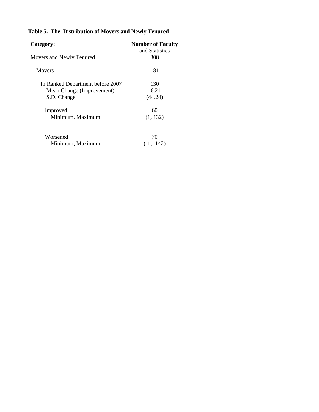# **Table 5. The Distribution of Movers and Newly Tenured**

| Category:                        | <b>Number of Faculty</b><br>and Statistics |
|----------------------------------|--------------------------------------------|
| Movers and Newly Tenured         | 308                                        |
| Movers                           | 181                                        |
| In Ranked Department before 2007 | 130                                        |
| Mean Change (Improvement)        | $-6.21$                                    |
| S.D. Change                      | (44.24)                                    |
| Improved                         | 60                                         |
| Minimum, Maximum                 | (1, 132)                                   |
| Worsened                         | 70                                         |
| Minimum, Maximum                 | $(-1, -142)$                               |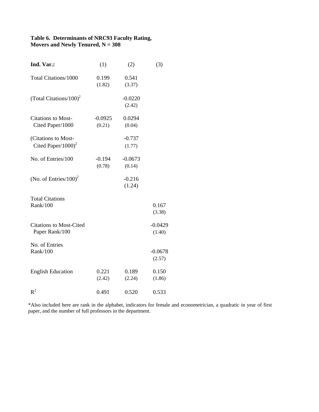# **Table 6. Determinants of NRC93 Faculty Rating, Movers and Newly Tenured, N = 308**

| Ind. Var.:                                            | (1)                 | (2)                 | (3)                 |
|-------------------------------------------------------|---------------------|---------------------|---------------------|
| Total Citations/1000                                  | 0.199<br>(1.82)     | 0.541<br>(3.37)     |                     |
| (Total Citations/100) <sup>2</sup>                    |                     | $-0.0220$<br>(2.42) |                     |
| <b>Citations to Most-</b><br>Cited Paper/1000         | $-0.0925$<br>(0.21) | 0.0294<br>(0.04)    |                     |
| (Citations to Most-<br>Cited Paper/1000) <sup>2</sup> |                     | $-0.737$<br>(1.77)  |                     |
| No. of Entries/100                                    | $-0.194$<br>(0.78)  | $-0.0673$<br>(0.14) |                     |
| (No. of Entries/100) <sup>2</sup>                     |                     | $-0.216$<br>(1.24)  |                     |
| <b>Total Citations</b><br>Rank/100                    |                     |                     | 0.167<br>(3.38)     |
| <b>Citations to Most-Cited</b><br>Paper Rank/100      |                     |                     | $-0.0429$<br>(1.40) |
| No. of Entries<br>Rank/100                            |                     |                     | $-0.0678$<br>(2.57) |
| <b>English Education</b>                              | 0.221<br>(2.42)     | 0.189<br>(2.24)     | 0.150<br>(1.86)     |
| $R^2$                                                 | 0.491               | 0.520               | 0.533               |

\*Also included here are rank in the alphabet, indicators for female and econometrician, a quadratic in year of first paper, and the number of full professors in the department.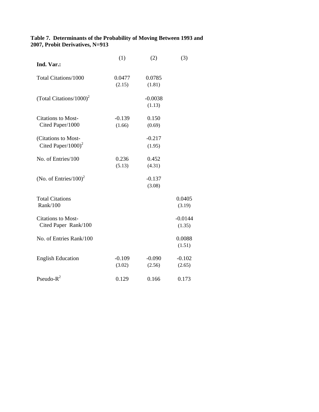## **Table 7. Determinants of the Probability of Moving Between 1993 and 2007, Probit Derivatives, N=913**

|                                                       | (1)                | (2)                 | (3)                 |
|-------------------------------------------------------|--------------------|---------------------|---------------------|
| Ind. Var.:                                            |                    |                     |                     |
| Total Citations/1000                                  | 0.0477<br>(2.15)   | 0.0785<br>(1.81)    |                     |
| (Total Citations/1000) <sup>2</sup>                   |                    | $-0.0038$<br>(1.13) |                     |
| <b>Citations to Most-</b><br>Cited Paper/1000         | $-0.139$<br>(1.66) | 0.150<br>(0.69)     |                     |
| (Citations to Most-<br>Cited Paper/1000) <sup>2</sup> |                    | $-0.217$<br>(1.95)  |                     |
| No. of Entries/100                                    | 0.236<br>(5.13)    | 0.452<br>(4.31)     |                     |
| (No. of Entries/100) <sup>2</sup>                     |                    | $-0.137$<br>(3.08)  |                     |
| <b>Total Citations</b><br>Rank/100                    |                    |                     | 0.0405<br>(3.19)    |
| <b>Citations to Most-</b><br>Cited Paper Rank/100     |                    |                     | $-0.0144$<br>(1.35) |
| No. of Entries Rank/100                               |                    |                     | 0.0088<br>(1.51)    |
| <b>English Education</b>                              | $-0.109$<br>(3.02) | $-0.090$<br>(2.56)  | $-0.102$<br>(2.65)  |
| Pseudo- $R^2$                                         | 0.129              | 0.166               | 0.173               |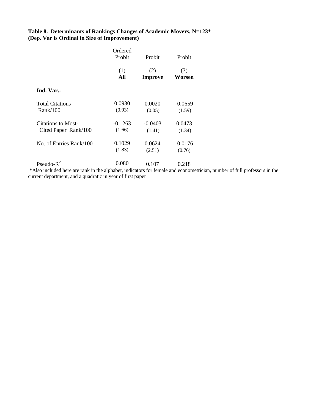## **Table 8. Determinants of Rankings Changes of Academic Movers, N=123\* (Dep. Var is Ordinal in Size of Improvement)**

|                         | Ordered<br>Probit | Probit         | Probit    |
|-------------------------|-------------------|----------------|-----------|
|                         | (1)               | (2)            | (3)       |
|                         | All               | <b>Improve</b> | Worsen    |
| Ind. Var.:              |                   |                |           |
| <b>Total Citations</b>  | 0.0930            | 0.0020         | $-0.0659$ |
| Rank/100                | (0.93)            | (0.05)         | (1.59)    |
| Citations to Most-      | $-0.1263$         | $-0.0403$      | 0.0473    |
| Cited Paper Rank/100    | (1.66)            | (1.41)         | (1.34)    |
| No. of Entries Rank/100 | 0.1029            | 0.0624         | $-0.0176$ |
|                         | (1.83)            | (2.51)         | (0.76)    |
| Pseudo- $R^2$           | 0.080             | 0.107          | 0.218     |

\*Also included here are rank in the alphabet, indicators for female and econometrician, number of full professors in the current department, and a quadratic in year of first paper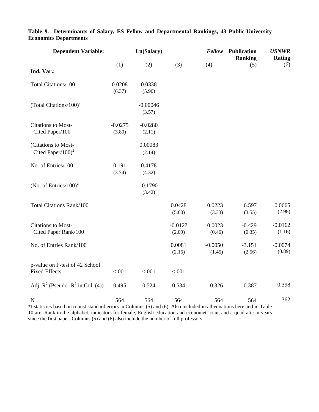# **Dependent Variable: Ln(Salary)** *Fellow* **Publication** *USNWR* **Ranking Rating** (1) (2) (3) (4) (5) (6) **Ind. Var.:**  Total Citations/100 0.0208 0.0338  $(6.37)$   $(5.90)$  $(Total Citations/100)<sup>2</sup>$  -0.00046  $(3.57)$ Citations to Most- $-0.0275 -0.0280$ Cited Paper/100 (3.80) (2.11) (Citations to Most- 0.00083 Cited Paper/100)<sup>2</sup> (2.14) No. of Entries/100 0.191 0.4178  $(3.74)$   $(4.32)$ (No. of Entries/100)<sup>2</sup>  $-0.1790$ (3.42) Total Citations Rank/100  $0.0428$   $0.0223$   $0.597$   $0.0665$ <br>(5.60)  $(3.33)$   $(3.55)$   $(2.98)$  $(5.60)$   $(3.33)$   $(3.55)$   $(2.98)$ Citations to Most-<br>  $-0.0127$   $0.0023$   $-0.429$   $-0.0162$ Cited Paper Rank/100 (2.09) (0.46) (0.35) (1.16) No. of Entries Rank/100 0.0081 -0.0050 -3.151 -0.0074  $(2.16)$   $(1.45)$   $(2.56)$   $(0.89)$ p-value on F-test of 42 School Fixed Effects <.001 <.001 <.001 <.001 Adj. R<sup>2</sup> (Pseudo- R<sup>2</sup> in Col. (4)) 0.495 0.524 0.534 0.326 0.387 0.398 N 564 564 564 564 564 362

# **Table 9. Determinants of Salary, ES Fellow and Departmental Rankings, 43 Public-University Economics Departments**

\*t-statistics based on robust standard errors in Columns (5) and (6). Also included in all equations here and in Table 10 are: Rank in the alphabet, indicators for female, English education and econometrician, and a quadratic in years since the first paper. Columns (5) and (6) also include the number of full professors.